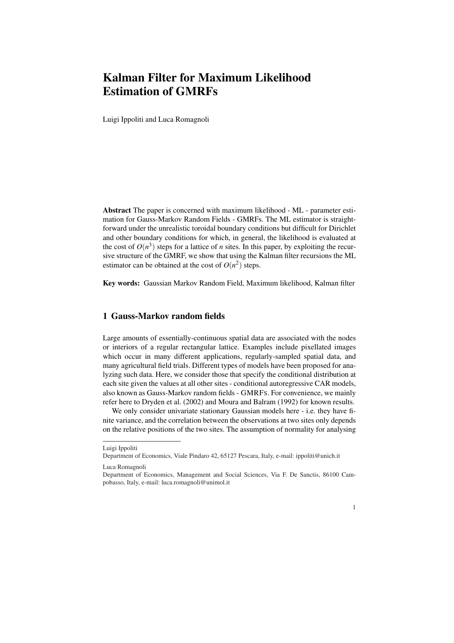## Kalman Filter for Maximum Likelihood Estimation of GMRFs

Luigi Ippoliti and Luca Romagnoli

Abstract The paper is concerned with maximum likelihood - ML - parameter estimation for Gauss-Markov Random Fields - GMRFs. The ML estimator is straightforward under the unrealistic toroidal boundary conditions but difficult for Dirichlet and other boundary conditions for which, in general, the likelihood is evaluated at the cost of  $O(n^3)$  steps for a lattice of *n* sites. In this paper, by exploiting the recursive structure of the GMRF, we show that using the Kalman filter recursions the ML estimator can be obtained at the cost of  $O(n^2)$  steps.

Key words: Gaussian Markov Random Field, Maximum likelihood, Kalman filter

## 1 Gauss-Markov random fields

Large amounts of essentially-continuous spatial data are associated with the nodes or interiors of a regular rectangular lattice. Examples include pixellated images which occur in many different applications, regularly-sampled spatial data, and many agricultural field trials. Different types of models have been proposed for analyzing such data. Here, we consider those that specify the conditional distribution at each site given the values at all other sites - conditional autoregressive CAR models, also known as Gauss-Markov random fields - GMRFS. For convenience, we mainly refer here to Dryden et al. (2002) and Moura and Balram (1992) for known results.

We only consider univariate stationary Gaussian models here - i.e. they have finite variance, and the correlation between the observations at two sites only depends on the relative positions of the two sites. The assumption of normality for analysing

Department of Economics, Management and Social Sciences, Via F. De Sanctis, 86100 Campobasso, Italy, e-mail: luca.romagnoli@unimol.it



Luigi Ippoliti

Department of Economics, Viale Pindaro 42, 65127 Pescara, Italy, e-mail: ippoliti@unich.it

Luca Romagnoli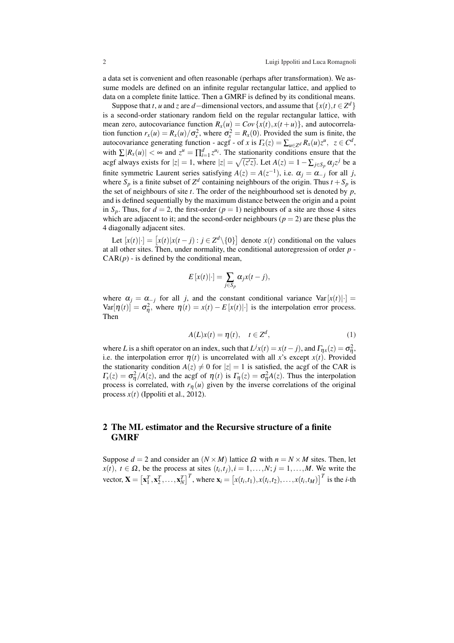a data set is convenient and often reasonable (perhaps after transformation). We assume models are defined on an infinite regular rectangular lattice, and applied to data on a complete finite lattice. Then a GMRF is defined by its conditional means.

Suppose that *t*, *u* and *z* are *d*−dimensional vectors, and assume that  $\{x(t), t \in \mathbb{Z}^d\}$ is a second-order stationary random field on the regular rectangular lattice, with mean zero, autocovariance function  $R_x(u) = Cov\{x(t), x(t+u)\}\)$ , and autocorrelation function  $r_x(u) = R_x(u)/\sigma_x^2$ , where  $\sigma_x^2 = R_x(0)$ . Provided the sum is finite, the autocovariance generating function - acgf - of *x* is  $\Gamma_x(z) = \sum_{u \in \mathbb{Z}^d} R_x(u) z^u$ ,  $z \in \mathbb{C}^d$ , with  $\sum |R_x(u)| < \infty$  and  $z^u = \prod_{i=1}^d z^{u_i}$ . The stationarity conditions ensure that the acgf always exists for  $|z| = 1$ , where  $|z| = \sqrt{(z'z)}$ . Let  $A(z) = 1 - \sum_{j \in S_p} \alpha_j z^j$  be a finite symmetric Laurent series satisfying  $A(z) = A(z^{-1})$ , i.e.  $\alpha_j = \alpha_{-j}$  for all *j*, where  $S_p$  is a finite subset of  $Z^d$  containing neighbours of the origin. Thus  $t + S_p$  is the set of neighbours of site *t*. The order of the neighbourhood set is denoted by *p*, and is defined sequentially by the maximum distance between the origin and a point in  $S_p$ . Thus, for  $d = 2$ , the first-order  $(p = 1)$  neighbours of a site are those 4 sites which are adjacent to it; and the second-order neighbours ( $p = 2$ ) are these plus the 4 diagonally adjacent sites.

 $\text{Let } [x(t)| \cdot] = [x(t)|x(t-j) : j \in \mathbb{Z}^d \setminus \{0\}]$ denote  $x(t)$  conditional on the values at all other sites. Then, under normality, the conditional autoregression of order *p* -  $CAR(p)$  - is defined by the conditional mean,

$$
E[x(t)|\cdot] = \sum_{j \in S_p} \alpha_j x(t-j),
$$

where  $\alpha_j = \alpha_{-j}$  for all *j*, and the constant conditional variance Var[ $x(t)$ ] =  $Var[\eta(t)] = \sigma_{\eta}^2$ , where  $\eta(t) = x(t) - E[x(t)]$  is the interpolation error process. Then

$$
A(L)x(t) = \eta(t), \quad t \in \mathbb{Z}^d,
$$
\n<sup>(1)</sup>

where *L* is a shift operator on an index, such that  $L^j x(t) = x(t - j)$ , and  $\Gamma_{\eta x}(z) = \sigma_{\eta}^2$ , i.e. the interpolation error  $\eta(t)$  is uncorrelated with all x's except  $x(t)$ . Provided the stationarity condition  $A(z) \neq 0$  for  $|z| = 1$  is satisfied, the acgf of the CAR is  $\Gamma_{\rm x}(z) = \sigma_{\rm \eta}^2 / A(z)$ , and the acgf of  $\eta(t)$  is  $\Gamma_{\eta}(z) = \sigma_{\eta}^2 A(z)$ . Thus the interpolation process is correlated, with  $r_{\eta}(u)$  given by the inverse correlations of the original process  $x(t)$  (Ippoliti et al., 2012).

## 2 The ML estimator and the Recursive structure of a finite **GMRF**

Suppose  $d = 2$  and consider an  $(N \times M)$  lattice  $\Omega$  with  $n = N \times M$  sites. Then, let  $x(t)$ ,  $t \in \Omega$ , be the process at sites  $(t_i, t_j)$ ,  $i = 1, \ldots, N$ ;  $j = 1, \ldots, M$ . We write the vector,  $X =$ £  $\mathbf{x}_1^T, \mathbf{x}_2^T, \ldots, \mathbf{x}_N^T$  $\int_0^T$ , where  $\mathbf{x}_i =$ .<br>۳  $x(t_i, t_1), x(t_i, t_2), \ldots, x(t_i, t_M)$ <sup>T</sup> is the *i*-th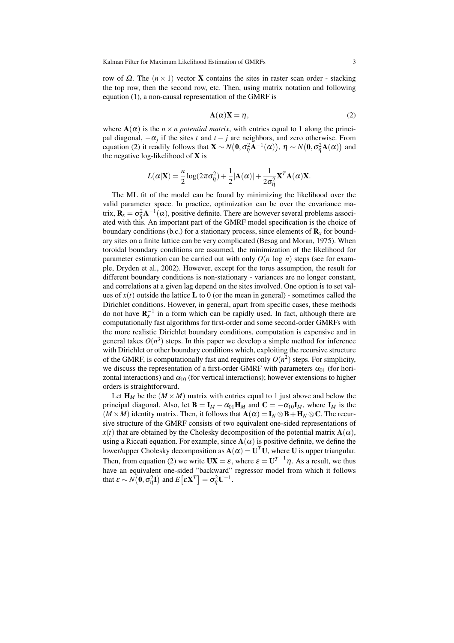row of Ω. The  $(n \times 1)$  vector **X** contains the sites in raster scan order - stacking the top row, then the second row, etc. Then, using matrix notation and following equation (1), a non-causal representation of the GMRF is

$$
\mathbf{A}(\alpha)\mathbf{X} = \eta,\tag{2}
$$

where  $A(\alpha)$  is the  $n \times n$  *potential matrix*, with entries equal to 1 along the principal diagonal,  $-\alpha_j$  if the sites *t* and  $t - j$  are neighbors, and zero otherwise. From equation (2) it readily follows that  $\mathbf{X} \sim N(\mathbf{0}, \sigma_n^2 \mathbf{A}^{-1}(\alpha)), \ \eta \sim N(\mathbf{0}, \sigma_n^2 \mathbf{A}(\alpha))$  and the negative log-likelihood of  $X$  is

$$
L(\alpha|\mathbf{X}) = \frac{n}{2}\log(2\pi\sigma_{\eta}^{2}) + \frac{1}{2}|\mathbf{A}(\alpha)| + \frac{1}{2\sigma_{\eta}^{2}}\mathbf{X}^{T}\mathbf{A}(\alpha)\mathbf{X}.
$$

The ML fit of the model can be found by minimizing the likelihood over the valid parameter space. In practice, optimization can be over the covariance matrix,  $\mathbf{R}_x = \sigma_\eta^2 \mathbf{A}^{-1}(\alpha)$ , positive definite. There are however several problems associated with this. An important part of the GMRF model specification is the choice of boundary conditions (b.c.) for a stationary process, since elements of  $\mathbf{R}_x$  for boundary sites on a finite lattice can be very complicated (Besag and Moran, 1975). When toroidal boundary conditions are assumed, the minimization of the likelihood for parameter estimation can be carried out with only  $O(n \log n)$  steps (see for example, Dryden et al., 2002). However, except for the torus assumption, the result for different boundary conditions is non-stationary - variances are no longer constant, and correlations at a given lag depend on the sites involved. One option is to set values of  $x(t)$  outside the lattice **L** to 0 (or the mean in general) - sometimes called the Dirichlet conditions. However, in general, apart from specific cases, these methods do not have  $\mathbf{R}_{x}^{-1}$  in a form which can be rapidly used. In fact, although there are computationally fast algorithms for first-order and some second-order GMRFs with the more realistic Dirichlet boundary conditions, computation is expensive and in general takes  $O(n^3)$  steps. In this paper we develop a simple method for inference with Dirichlet or other boundary conditions which, exploiting the recursive structure of the GMRF, is computationally fast and requires only  $O(n^2)$  steps. For simplicity, we discuss the representation of a first-order GMRF with parameters  $\alpha_{01}$  (for horizontal interactions) and  $\alpha_{10}$  (for vertical interactions); however extensions to higher orders is straightforward.

Let  $H_M$  be the  $(M \times M)$  matrix with entries equal to 1 just above and below the principal diagonal. Also, let  $\mathbf{B} = \mathbf{I}_M - \alpha_{01} \mathbf{H}_M$  and  $\mathbf{C} = -\alpha_{10} \mathbf{I}_M$ , where  $\mathbf{I}_M$  is the  $(M \times M)$  identity matrix. Then, it follows that  $\mathbf{A}(\alpha) = \mathbf{I}_N \otimes \mathbf{B} + \mathbf{H}_N \otimes \mathbf{C}$ . The recursive structure of the GMRF consists of two equivalent one-sided representations of  $x(t)$  that are obtained by the Cholesky decomposition of the potential matrix  $A(\alpha)$ , using a Riccati equation. For example, since  $A(\alpha)$  is positive definite, we define the lower/upper Cholesky decomposition as  $\mathbf{A}(\alpha) = \mathbf{U}^T \mathbf{U}$ , where U is upper triangular. Then, from equation (2) we write  $UX = \varepsilon$ , where  $\varepsilon = U^{T-1}\eta$ . As a result, we thus have an equivalent one-sided "backward" regressor model from which it follows that  $\varepsilon \sim N(\mathbf{0}, \sigma_{\eta}^2 \mathbf{I})$  and  $E\big[\varepsilon \mathbf{X}^T \big] = \sigma_{\eta}^2 \mathbf{U}^{-1}$ .